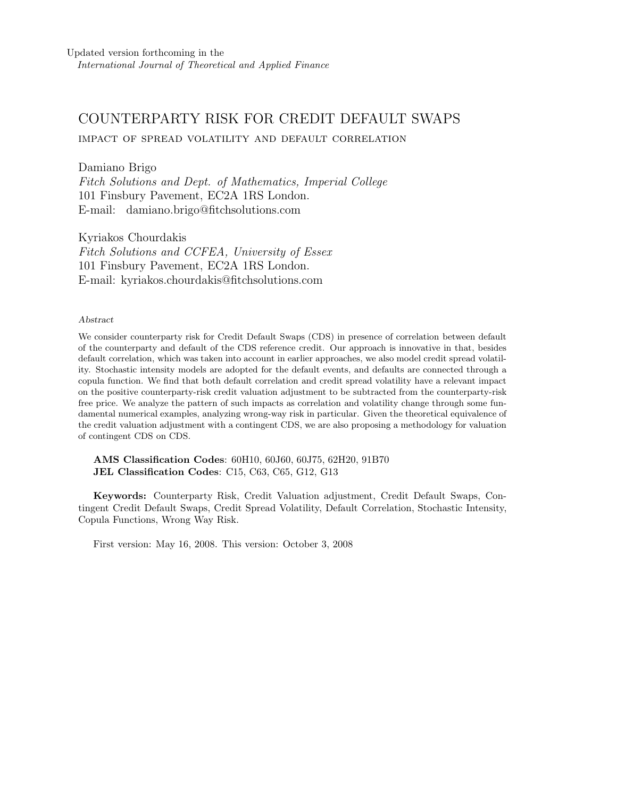# COUNTERPARTY RISK FOR CREDIT DEFAULT SWAPS

impact of spread volatility and default correlation

Damiano Brigo Fitch Solutions and Dept. of Mathematics, Imperial College 101 Finsbury Pavement, EC2A 1RS London. E-mail: damiano.brigo@fitchsolutions.com

Kyriakos Chourdakis Fitch Solutions and CCFEA, University of Essex 101 Finsbury Pavement, EC2A 1RS London. E-mail: kyriakos.chourdakis@fitchsolutions.com

### Abstract

We consider counterparty risk for Credit Default Swaps (CDS) in presence of correlation between default of the counterparty and default of the CDS reference credit. Our approach is innovative in that, besides default correlation, which was taken into account in earlier approaches, we also model credit spread volatility. Stochastic intensity models are adopted for the default events, and defaults are connected through a copula function. We find that both default correlation and credit spread volatility have a relevant impact on the positive counterparty-risk credit valuation adjustment to be subtracted from the counterparty-risk free price. We analyze the pattern of such impacts as correlation and volatility change through some fundamental numerical examples, analyzing wrong-way risk in particular. Given the theoretical equivalence of the credit valuation adjustment with a contingent CDS, we are also proposing a methodology for valuation of contingent CDS on CDS.

AMS Classification Codes: 60H10, 60J60, 60J75, 62H20, 91B70 JEL Classification Codes: C15, C63, C65, G12, G13

Keywords: Counterparty Risk, Credit Valuation adjustment, Credit Default Swaps, Contingent Credit Default Swaps, Credit Spread Volatility, Default Correlation, Stochastic Intensity, Copula Functions, Wrong Way Risk.

First version: May 16, 2008. This version: October 3, 2008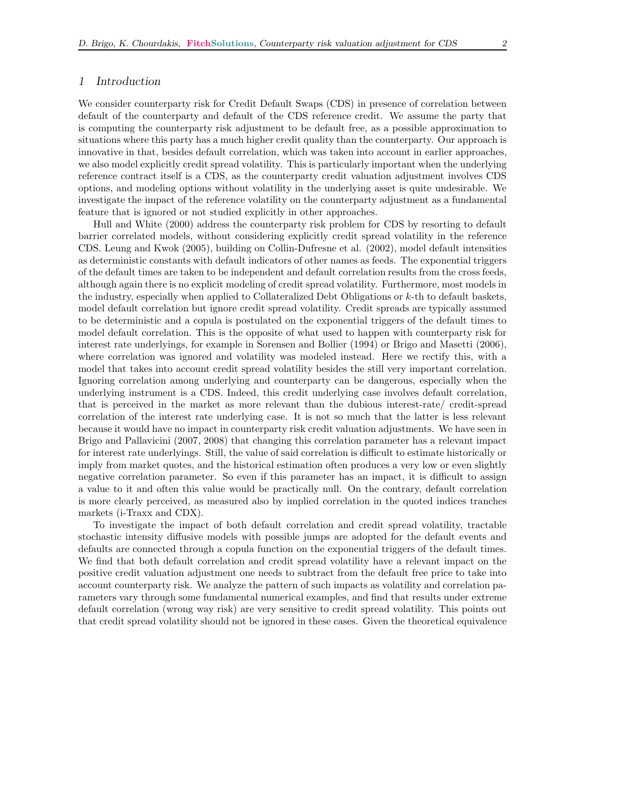## 1 Introduction

We consider counterparty risk for Credit Default Swaps (CDS) in presence of correlation between default of the counterparty and default of the CDS reference credit. We assume the party that is computing the counterparty risk adjustment to be default free, as a possible approximation to situations where this party has a much higher credit quality than the counterparty. Our approach is innovative in that, besides default correlation, which was taken into account in earlier approaches, we also model explicitly credit spread volatility. This is particularly important when the underlying reference contract itself is a CDS, as the counterparty credit valuation adjustment involves CDS options, and modeling options without volatility in the underlying asset is quite undesirable. We investigate the impact of the reference volatility on the counterparty adjustment as a fundamental feature that is ignored or not studied explicitly in other approaches.

Hull and White (2000) address the counterparty risk problem for CDS by resorting to default barrier correlated models, without considering explicitly credit spread volatility in the reference CDS. Leung and Kwok (2005), building on Collin-Dufresne et al. (2002), model default intensities as deterministic constants with default indicators of other names as feeds. The exponential triggers of the default times are taken to be independent and default correlation results from the cross feeds, although again there is no explicit modeling of credit spread volatility. Furthermore, most models in the industry, especially when applied to Collateralized Debt Obligations or k-th to default baskets, model default correlation but ignore credit spread volatility. Credit spreads are typically assumed to be deterministic and a copula is postulated on the exponential triggers of the default times to model default correlation. This is the opposite of what used to happen with counterparty risk for interest rate underlyings, for example in Sorensen and Bollier (1994) or Brigo and Masetti (2006), where correlation was ignored and volatility was modeled instead. Here we rectify this, with a model that takes into account credit spread volatility besides the still very important correlation. Ignoring correlation among underlying and counterparty can be dangerous, especially when the underlying instrument is a CDS. Indeed, this credit underlying case involves default correlation, that is perceived in the market as more relevant than the dubious interest-rate/ credit-spread correlation of the interest rate underlying case. It is not so much that the latter is less relevant because it would have no impact in counterparty risk credit valuation adjustments. We have seen in Brigo and Pallavicini (2007, 2008) that changing this correlation parameter has a relevant impact for interest rate underlyings. Still, the value of said correlation is difficult to estimate historically or imply from market quotes, and the historical estimation often produces a very low or even slightly negative correlation parameter. So even if this parameter has an impact, it is difficult to assign a value to it and often this value would be practically null. On the contrary, default correlation is more clearly perceived, as measured also by implied correlation in the quoted indices tranches markets (i-Traxx and CDX).

To investigate the impact of both default correlation and credit spread volatility, tractable stochastic intensity diffusive models with possible jumps are adopted for the default events and defaults are connected through a copula function on the exponential triggers of the default times. We find that both default correlation and credit spread volatility have a relevant impact on the positive credit valuation adjustment one needs to subtract from the default free price to take into account counterparty risk. We analyze the pattern of such impacts as volatility and correlation parameters vary through some fundamental numerical examples, and find that results under extreme default correlation (wrong way risk) are very sensitive to credit spread volatility. This points out that credit spread volatility should not be ignored in these cases. Given the theoretical equivalence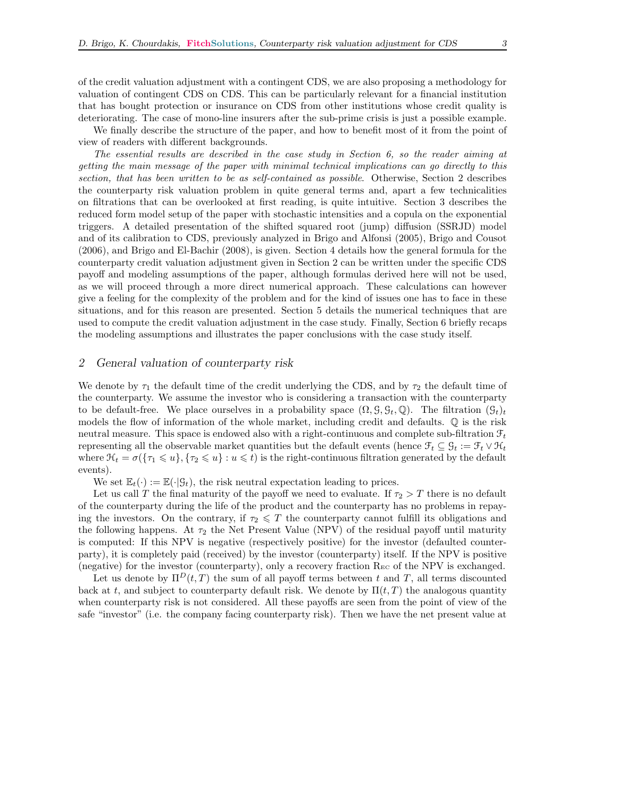of the credit valuation adjustment with a contingent CDS, we are also proposing a methodology for valuation of contingent CDS on CDS. This can be particularly relevant for a financial institution that has bought protection or insurance on CDS from other institutions whose credit quality is deteriorating. The case of mono-line insurers after the sub-prime crisis is just a possible example.

We finally describe the structure of the paper, and how to benefit most of it from the point of view of readers with different backgrounds.

The essential results are described in the case study in Section 6, so the reader aiming at getting the main message of the paper with minimal technical implications can go directly to this section, that has been written to be as self-contained as possible. Otherwise, Section 2 describes the counterparty risk valuation problem in quite general terms and, apart a few technicalities on filtrations that can be overlooked at first reading, is quite intuitive. Section 3 describes the reduced form model setup of the paper with stochastic intensities and a copula on the exponential triggers. A detailed presentation of the shifted squared root (jump) diffusion (SSRJD) model and of its calibration to CDS, previously analyzed in Brigo and Alfonsi (2005), Brigo and Cousot (2006), and Brigo and El-Bachir (2008), is given. Section 4 details how the general formula for the counterparty credit valuation adjustment given in Section 2 can be written under the specific CDS payoff and modeling assumptions of the paper, although formulas derived here will not be used, as we will proceed through a more direct numerical approach. These calculations can however give a feeling for the complexity of the problem and for the kind of issues one has to face in these situations, and for this reason are presented. Section 5 details the numerical techniques that are used to compute the credit valuation adjustment in the case study. Finally, Section 6 briefly recaps the modeling assumptions and illustrates the paper conclusions with the case study itself.

## 2 General valuation of counterparty risk

We denote by  $\tau_1$  the default time of the credit underlying the CDS, and by  $\tau_2$  the default time of the counterparty. We assume the investor who is considering a transaction with the counterparty to be default-free. We place ourselves in a probability space  $(\Omega, \mathcal{G}, \mathcal{G}_t, \mathbb{Q})$ . The filtration  $(\mathcal{G}_t)_t$ models the flow of information of the whole market, including credit and defaults. Q is the risk neutral measure. This space is endowed also with a right-continuous and complete sub-filtration  $\mathcal{F}_t$ representing all the observable market quantities but the default events (hence  $\mathcal{F}_t \subseteq \mathcal{G}_t := \mathcal{F}_t \vee \mathcal{H}_t$ where  $\mathcal{H}_t = \sigma(\{\tau_1 \leqslant u\}, \{\tau_2 \leqslant u\} : u \leqslant t)$  is the right-continuous filtration generated by the default events).

We set  $\mathbb{E}_t(\cdot) := \mathbb{E}(\cdot | \mathcal{G}_t)$ , the risk neutral expectation leading to prices.

Let us call T the final maturity of the payoff we need to evaluate. If  $\tau_2 > T$  there is no default of the counterparty during the life of the product and the counterparty has no problems in repaying the investors. On the contrary, if  $\tau_2 \leq T$  the counterparty cannot fulfill its obligations and the following happens. At  $\tau_2$  the Net Present Value (NPV) of the residual payoff until maturity is computed: If this NPV is negative (respectively positive) for the investor (defaulted counterparty), it is completely paid (received) by the investor (counterparty) itself. If the NPV is positive (negative) for the investor (counterparty), only a recovery fraction  $R_{EC}$  of the NPV is exchanged.

Let us denote by  $\Pi^{D}(t,T)$  the sum of all payoff terms between t and T, all terms discounted back at t, and subject to counterparty default risk. We denote by  $\Pi(t, T)$  the analogous quantity when counterparty risk is not considered. All these payoffs are seen from the point of view of the safe "investor" (i.e. the company facing counterparty risk). Then we have the net present value at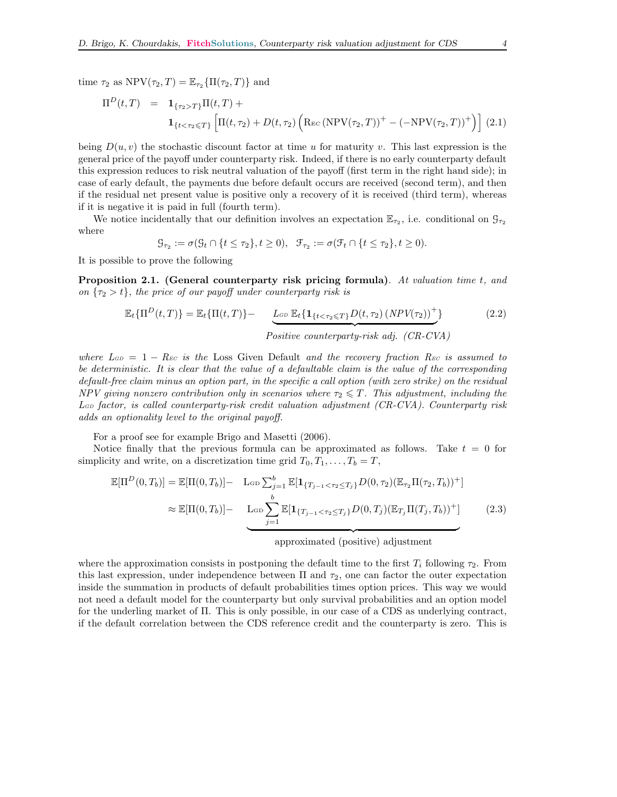time  $\tau_2$  as  $NPV(\tau_2, T) = \mathbb{E}_{\tau_2} \{ \Pi(\tau_2, T) \}$  and

$$
\Pi^{D}(t,T) = \mathbf{1}_{\{\tau_2 > T\}} \Pi(t,T) + \mathbf{1}_{\{t < \tau_2 \le T\}} \left[ \Pi(t,\tau_2) + D(t,\tau_2) \left( \text{Rec} \left( \text{NPV}(\tau_2,T) \right)^+ - \left( -\text{NPV}(\tau_2,T) \right)^+ \right) \right] (2.1)
$$

being  $D(u, v)$  the stochastic discount factor at time u for maturity v. This last expression is the general price of the payoff under counterparty risk. Indeed, if there is no early counterparty default this expression reduces to risk neutral valuation of the payoff (first term in the right hand side); in case of early default, the payments due before default occurs are received (second term), and then if the residual net present value is positive only a recovery of it is received (third term), whereas if it is negative it is paid in full (fourth term).

We notice incidentally that our definition involves an expectation  $\mathbb{E}_{\tau_2}$ , i.e. conditional on  $\mathcal{G}_{\tau_2}$ where

$$
\mathcal{G}_{\tau_2} := \sigma(\mathcal{G}_t \cap \{t \leq \tau_2\}, t \geq 0), \quad \mathcal{F}_{\tau_2} := \sigma(\mathcal{F}_t \cap \{t \leq \tau_2\}, t \geq 0).
$$

It is possible to prove the following

Proposition 2.1. (General counterparty risk pricing formula). At valuation time t, and on  $\{\tau_2 > t\}$ , the price of our payoff under counterparty risk is

$$
\mathbb{E}_{t}\{\Pi^{D}(t,T)\} = \mathbb{E}_{t}\{\Pi(t,T)\} - \underbrace{L_{GD} \mathbb{E}_{t}\{1_{\{t < \tau_{2} \leq T\}} D(t,\tau_{2}) \left( NPV(\tau_{2})\right)^{+}\}}_{\text{D} \text{ min}} \tag{2.2}
$$

Positive counterparty-risk adj. (CR-CVA)

where  $L_{GD} = 1 - R_{EC}$  is the Loss Given Default and the recovery fraction  $R_{EC}$  is assumed to be deterministic. It is clear that the value of a defaultable claim is the value of the corresponding default-free claim minus an option part, in the specific a call option (with zero strike) on the residual NPV giving nonzero contribution only in scenarios where  $\tau_2 \leqslant T$ . This adjustment, including the  $L_{GD}$  factor, is called counterparty-risk credit valuation adjustment (CR-CVA). Counterparty risk adds an optionality level to the original payoff.

For a proof see for example Brigo and Masetti (2006).

Notice finally that the previous formula can be approximated as follows. Take  $t = 0$  for simplicity and write, on a discretization time grid  $T_0, T_1, \ldots, T_b = T$ ,

$$
\mathbb{E}[\Pi^{D}(0,T_{b})] = \mathbb{E}[\Pi(0,T_{b})] - \text{Log}\sum_{j=1}^{b} \mathbb{E}[\mathbf{1}_{\{T_{j-1} < \tau_{2} \le T_{j}\}} D(0,\tau_{2}) (\mathbb{E}_{\tau_{2}}\Pi(\tau_{2},T_{b}))^{+}] \\
\approx \mathbb{E}[\Pi(0,T_{b})] - \text{Log}\sum_{j=1}^{b} \mathbb{E}[\mathbf{1}_{\{T_{j-1} < \tau_{2} \le T_{j}\}} D(0,T_{j}) (\mathbb{E}_{T_{j}}\Pi(T_{j},T_{b}))^{+}] \tag{2.3}
$$

| {z } approximated (positive) adjustment

where the approximation consists in postponing the default time to the first  $T_i$  following  $\tau_2$ . From this last expression, under independence between  $\Pi$  and  $\tau_2$ , one can factor the outer expectation inside the summation in products of default probabilities times option prices. This way we would not need a default model for the counterparty but only survival probabilities and an option model for the underling market of Π. This is only possible, in our case of a CDS as underlying contract, if the default correlation between the CDS reference credit and the counterparty is zero. This is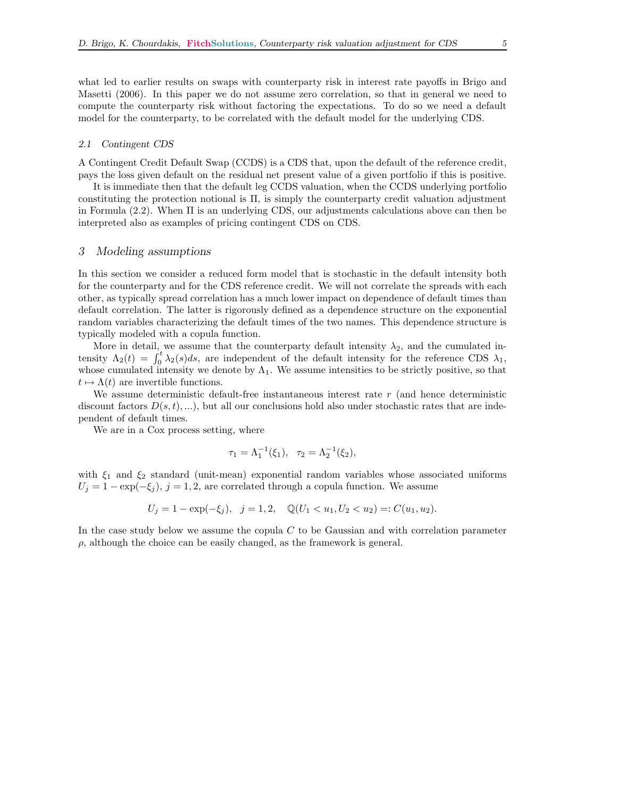what led to earlier results on swaps with counterparty risk in interest rate payoffs in Brigo and Masetti (2006). In this paper we do not assume zero correlation, so that in general we need to compute the counterparty risk without factoring the expectations. To do so we need a default model for the counterparty, to be correlated with the default model for the underlying CDS.

### 2.1 Contingent CDS

A Contingent Credit Default Swap (CCDS) is a CDS that, upon the default of the reference credit, pays the loss given default on the residual net present value of a given portfolio if this is positive.

It is immediate then that the default leg CCDS valuation, when the CCDS underlying portfolio constituting the protection notional is Π, is simply the counterparty credit valuation adjustment in Formula (2.2). When Π is an underlying CDS, our adjustments calculations above can then be interpreted also as examples of pricing contingent CDS on CDS.

### 3 Modeling assumptions

In this section we consider a reduced form model that is stochastic in the default intensity both for the counterparty and for the CDS reference credit. We will not correlate the spreads with each other, as typically spread correlation has a much lower impact on dependence of default times than default correlation. The latter is rigorously defined as a dependence structure on the exponential random variables characterizing the default times of the two names. This dependence structure is typically modeled with a copula function.

More in detail, we assume that the counterparty default intensity  $\lambda_2$ , and the cumulated intensity  $\Lambda_2(t) = \int_0^t \lambda_2(s)ds$ , are independent of the default intensity for the reference CDS  $\lambda_1$ , whose cumulated intensity we denote by  $\Lambda_1$ . We assume intensities to be strictly positive, so that  $t \mapsto \Lambda(t)$  are invertible functions.

We assume deterministic default-free instantaneous interest rate  $r$  (and hence deterministic discount factors  $D(s, t), \ldots$ , but all our conclusions hold also under stochastic rates that are independent of default times.

We are in a Cox process setting, where

$$
\tau_1 = \Lambda_1^{-1}(\xi_1), \quad \tau_2 = \Lambda_2^{-1}(\xi_2),
$$

with  $\xi_1$  and  $\xi_2$  standard (unit-mean) exponential random variables whose associated uniforms  $U_j = 1 - \exp(-\xi_j)$ ,  $j = 1, 2$ , are correlated through a copula function. We assume

$$
U_j = 1 - \exp(-\xi_j), \quad j = 1, 2, \quad \mathbb{Q}(U_1 < u_1, U_2 < u_2) =: C(u_1, u_2).
$$

In the case study below we assume the copula  $C$  to be Gaussian and with correlation parameter  $\rho$ , although the choice can be easily changed, as the framework is general.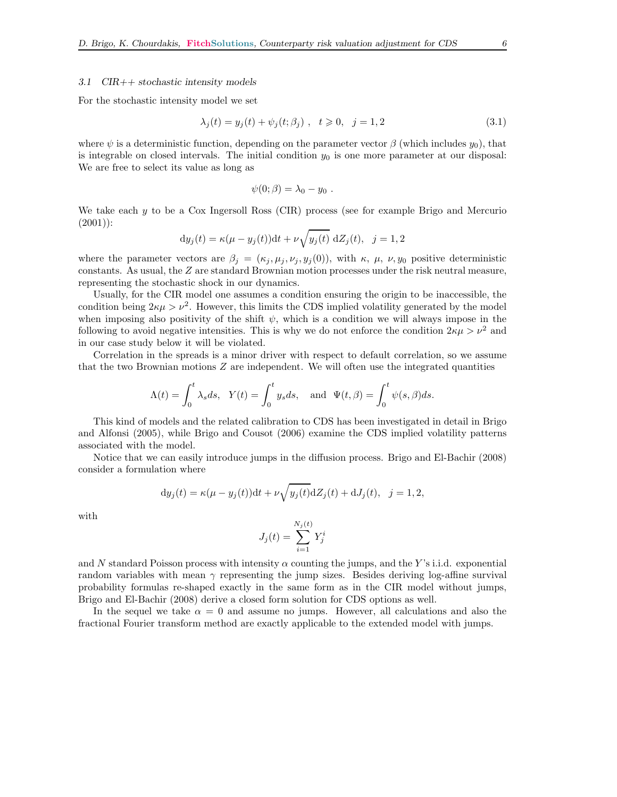#### 3.1  $CIR++$  stochastic intensity models

For the stochastic intensity model we set

$$
\lambda_j(t) = y_j(t) + \psi_j(t; \beta_j) \ , \ t \ge 0, \ j = 1, 2
$$
\n(3.1)

where  $\psi$  is a deterministic function, depending on the parameter vector  $\beta$  (which includes  $y_0$ ), that is integrable on closed intervals. The initial condition  $y_0$  is one more parameter at our disposal: We are free to select its value as long as

$$
\psi(0;\beta)=\lambda_0-y_0.
$$

We take each y to be a Cox Ingersoll Ross (CIR) process (see for example Brigo and Mercurio  $(2001))$ :

$$
dy_j(t) = \kappa(\mu - y_j(t))dt + \nu \sqrt{y_j(t)} dZ_j(t), \quad j = 1, 2
$$

where the parameter vectors are  $\beta_j = (\kappa_j, \mu_j, \nu_j, y_j(0))$ , with  $\kappa, \mu, \nu, y_0$  positive deterministic constants. As usual, the Z are standard Brownian motion processes under the risk neutral measure, representing the stochastic shock in our dynamics.

Usually, for the CIR model one assumes a condition ensuring the origin to be inaccessible, the condition being  $2\kappa\mu > \nu^2$ . However, this limits the CDS implied volatility generated by the model when imposing also positivity of the shift  $\psi$ , which is a condition we will always impose in the following to avoid negative intensities. This is why we do not enforce the condition  $2\kappa\mu > \nu^2$  and in our case study below it will be violated.

Correlation in the spreads is a minor driver with respect to default correlation, so we assume that the two Brownian motions  $Z$  are independent. We will often use the integrated quantities

$$
\Lambda(t) = \int_0^t \lambda_s ds, \ \ Y(t) = \int_0^t y_s ds, \ \text{and} \ \ \Psi(t, \beta) = \int_0^t \psi(s, \beta) ds.
$$

This kind of models and the related calibration to CDS has been investigated in detail in Brigo and Alfonsi (2005), while Brigo and Cousot (2006) examine the CDS implied volatility patterns associated with the model.

Notice that we can easily introduce jumps in the diffusion process. Brigo and El-Bachir (2008) consider a formulation where

$$
dy_j(t) = \kappa(\mu - y_j(t))dt + \nu \sqrt{y_j(t)}dZ_j(t) + dJ_j(t), \quad j = 1, 2,
$$

with

$$
J_j(t) = \sum_{i=1}^{N_j(t)} Y_j^i
$$

and N standard Poisson process with intensity  $\alpha$  counting the jumps, and the Y's i.i.d. exponential random variables with mean  $\gamma$  representing the jump sizes. Besides deriving log-affine survival probability formulas re-shaped exactly in the same form as in the CIR model without jumps, Brigo and El-Bachir (2008) derive a closed form solution for CDS options as well.

In the sequel we take  $\alpha = 0$  and assume no jumps. However, all calculations and also the fractional Fourier transform method are exactly applicable to the extended model with jumps.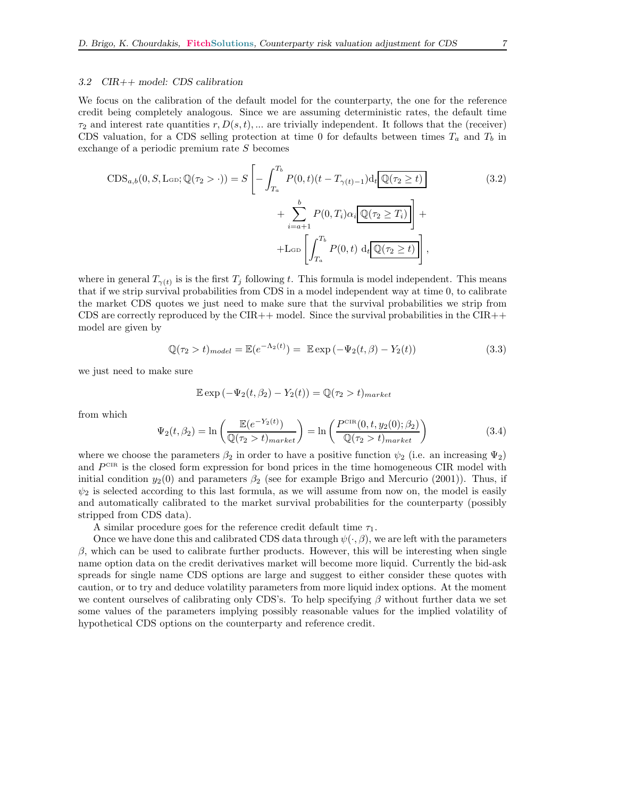We focus on the calibration of the default model for the counterparty, the one for the reference credit being completely analogous. Since we are assuming deterministic rates, the default time  $\tau_2$  and interest rate quantities r,  $D(s, t)$ , ... are trivially independent. It follows that the (receiver) CDS valuation, for a CDS selling protection at time 0 for defaults between times  $T_a$  and  $T_b$  in exchange of a periodic premium rate S becomes

$$
\text{CDS}_{a,b}(0, S, \text{Ləs}; \mathbb{Q}(\tau_2 > \cdot)) = S \left[ -\int_{T_a}^{T_b} P(0, t)(t - T_{\gamma(t)-1}) \mathrm{d}_t \overline{\mathbb{Q}(\tau_2 \ge t)} + \sum_{i=a+1}^b P(0, T_i) \alpha_i \overline{\mathbb{Q}(\tau_2 \ge T_i)} \right] +
$$
  
+
$$
\text{Ləb} \left[ \int_{T_a}^{T_b} P(0, t) \, \mathrm{d}_t \overline{\mathbb{Q}(\tau_2 \ge t)} \right],
$$
(3.2)

where in general  $T_{\gamma(t)}$  is is the first  $T_j$  following t. This formula is model independent. This means that if we strip survival probabilities from CDS in a model independent way at time 0, to calibrate the market CDS quotes we just need to make sure that the survival probabilities we strip from CDS are correctly reproduced by the CIR++ model. Since the survival probabilities in the CIR++ model are given by

$$
\mathbb{Q}(\tau_2 > t)_{model} = \mathbb{E}(e^{-\Lambda_2(t)}) = \mathbb{E} \exp(-\Psi_2(t, \beta) - Y_2(t))
$$
\n(3.3)

we just need to make sure

$$
\mathbb{E}\exp\left(-\Psi_2(t,\beta_2)-Y_2(t)\right)=\mathbb{Q}(\tau_2>t)_{market}
$$

from which

$$
\Psi_2(t, \beta_2) = \ln \left( \frac{\mathbb{E}(e^{-Y_2(t)})}{\mathbb{Q}(\tau_2 > t)_{market}} \right) = \ln \left( \frac{P^{\text{CIR}}(0, t, y_2(0); \beta_2)}{\mathbb{Q}(\tau_2 > t)_{market}} \right)
$$
(3.4)

where we choose the parameters  $\beta_2$  in order to have a positive function  $\psi_2$  (i.e. an increasing  $\Psi_2$ ) and  $P<sup>CIR</sup>$  is the closed form expression for bond prices in the time homogeneous CIR model with initial condition  $y_2(0)$  and parameters  $\beta_2$  (see for example Brigo and Mercurio (2001)). Thus, if  $\psi_2$  is selected according to this last formula, as we will assume from now on, the model is easily and automatically calibrated to the market survival probabilities for the counterparty (possibly stripped from CDS data).

A similar procedure goes for the reference credit default time  $\tau_1$ .

Once we have done this and calibrated CDS data through  $\psi(\cdot,\beta)$ , we are left with the parameters  $β$ , which can be used to calibrate further products. However, this will be interesting when single name option data on the credit derivatives market will become more liquid. Currently the bid-ask spreads for single name CDS options are large and suggest to either consider these quotes with caution, or to try and deduce volatility parameters from more liquid index options. At the moment we content ourselves of calibrating only CDS's. To help specifying  $\beta$  without further data we set some values of the parameters implying possibly reasonable values for the implied volatility of hypothetical CDS options on the counterparty and reference credit.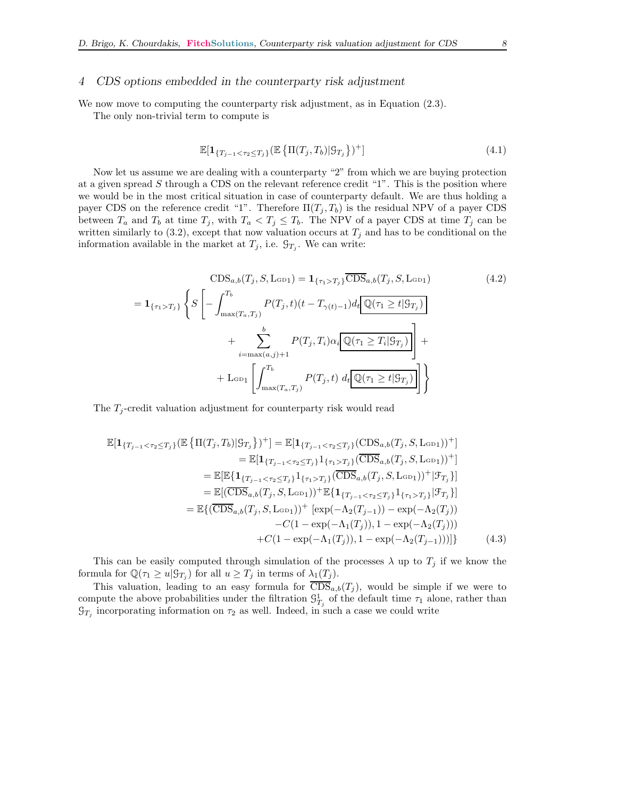## 4 CDS options embedded in the counterparty risk adjustment

We now move to computing the counterparty risk adjustment, as in Equation (2.3).

The only non-trivial term to compute is

$$
\mathbb{E}[\mathbf{1}_{\{T_{j-1} < \tau_2 \le T_j\}}(\mathbb{E}\left\{\Pi(T_j, T_b)|\mathcal{G}_{T_j}\right\})^+]
$$
\n
$$
\tag{4.1}
$$

Now let us assume we are dealing with a counterparty "2" from which we are buying protection at a given spread  $S$  through a CDS on the relevant reference credit "1". This is the position where we would be in the most critical situation in case of counterparty default. We are thus holding a payer CDS on the reference credit "1". Therefore  $\Pi(T_i, T_b)$  is the residual NPV of a payer CDS between  $T_a$  and  $T_b$  at time  $T_j$ , with  $T_a < T_j \leq T_b$ . The NPV of a payer CDS at time  $T_j$  can be written similarly to (3.2), except that now valuation occurs at  $T_j$  and has to be conditional on the information available in the market at  $T_j$ , i.e.  $\mathcal{G}_{T_j}$ . We can write:

$$
\text{CDS}_{a,b}(T_j, S, \text{LoD}_1) = \mathbf{1}_{\{\tau_1 > T_j\}} \overline{\text{CDS}}_{a,b}(T_j, S, \text{LoD}_1) \tag{4.2}
$$
\n
$$
= \mathbf{1}_{\{\tau_1 > T_j\}} \left\{ S \left[ - \int_{\max(T_a, T_j)}^{T_b} P(T_j, t)(t - T_{\gamma(t)-1}) d_t \underbrace{\mathbb{Q}(\tau_1 \ge t | \mathcal{G}_{T_j})}_{i = \max(a, j) + 1} + \sum_{i = \max(T_a, T_j)}^{b} P(T_j, T_i) \alpha_i \underbrace{\mathbb{Q}(\tau_1 \ge T_i | \mathcal{G}_{T_j})}_{i = \max(T_a, T_j)} \right] + \text{LoD}_1 \left[ \int_{\max(T_a, T_j)}^{T_b} P(T_j, t) d_t \underbrace{\mathbb{Q}(\tau_1 \ge t | \mathcal{G}_{T_j})}_{i = \max(T_a, T_j)} \right] \right\}
$$

The  $T_i$ -credit valuation adjustment for counterparty risk would read

$$
\mathbb{E}[\mathbf{1}_{\{T_{j-1} < \tau_2 \le T_j\}}(\mathbb{E}\{\Pi(T_j, T_b) | \mathcal{G}_{T_j}\})^+] = \mathbb{E}[\mathbf{1}_{\{T_{j-1} < \tau_2 \le T_j\}}(\text{CDS}_{a,b}(T_j, S, \text{Lon}_1))^+]
$$
\n
$$
= \mathbb{E}[\mathbf{1}_{\{T_{j-1} < \tau_2 \le T_j\}} \mathbf{1}_{\{\tau_1 > T_j\}}(\overline{\text{CDS}}_{a,b}(T_j, S, \text{Lon}_1))^+]
$$
\n
$$
= \mathbb{E}[\mathbb{E}\{\mathbf{1}_{\{T_{j-1} < \tau_2 \le T_j\}} \mathbf{1}_{\{\tau_1 > T_j\}}(\overline{\text{CDS}}_{a,b}(T_j, S, \text{Lon}_1))^+ | \mathcal{F}_{T_j}\}]
$$
\n
$$
= \mathbb{E}[(\overline{\text{CDS}}_{a,b}(T_j, S, \text{Lon}_1))^+ \mathbb{E}\{\mathbf{1}_{\{T_{j-1} < \tau_2 \le T_j\}} \mathbf{1}_{\{\tau_1 > T_j\}} | \mathcal{F}_{T_j}\}]
$$
\n
$$
= \mathbb{E}\{(\overline{\text{CDS}}_{a,b}(T_j, S, \text{Lon}_1))^+ [\exp(-\Lambda_2(T_{j-1})) - \exp(-\Lambda_2(T_j))
$$
\n
$$
-C(1 - \exp(-\Lambda_1(T_j)), 1 - \exp(-\Lambda_2(T_{j-1})))]\}
$$
\n
$$
+C(1 - \exp(-\Lambda_1(T_j)), 1 - \exp(-\Lambda_2(T_{j-1})))]
$$
\n(4.3)

This can be easily computed through simulation of the processes  $\lambda$  up to  $T_j$  if we know the formula for  $\mathbb{Q}(\tau_1 \geq u | \mathcal{G}_{T_j})$  for all  $u \geq T_j$  in terms of  $\lambda_1(T_j)$ .

This valuation, leading to an easy formula for  $CDS_{a,b}(T_j)$ , would be simple if we were to compute the above probabilities under the filtration  $\mathcal{G}^1_{T_j}$  of the default time  $\tau_1$  alone, rather than  $\mathcal{G}_{T_j}$  incorporating information on  $\tau_2$  as well. Indeed, in such a case we could write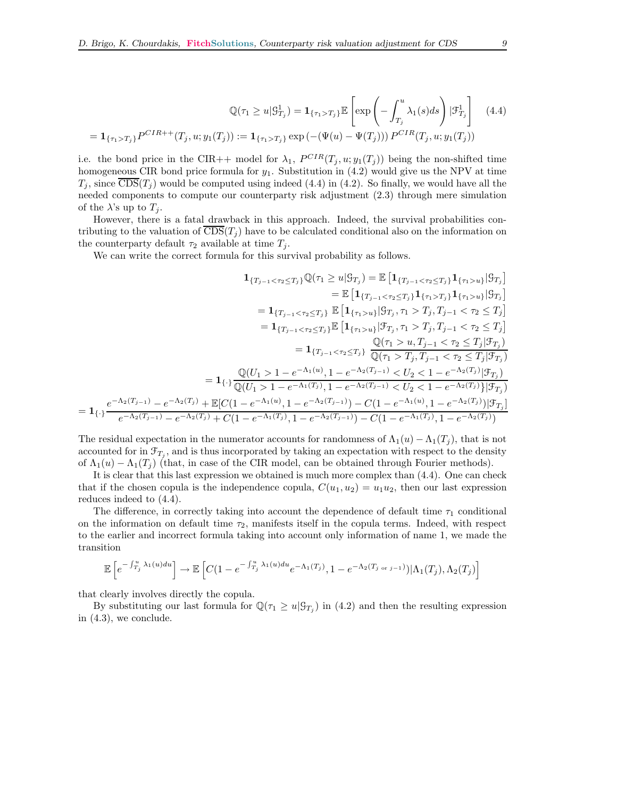$$
\mathbb{Q}(\tau_1 \ge u | \mathcal{G}^1_{T_j}) = \mathbf{1}_{\{\tau_1 > T_j\}} \mathbb{E} \left[ \exp \left( - \int_{T_j}^u \lambda_1(s) ds \right) | \mathcal{F}^1_{T_j} \right] \tag{4.4}
$$
\n
$$
= \mathbf{1}_{\{\tau_1 > T_j\}} P^{CIR++}(T_j, u; y_1(T_j)) := \mathbf{1}_{\{\tau_1 > T_j\}} \exp \left( -(\Psi(u) - \Psi(T_j)) \right) P^{CIR}(T_j, u; y_1(T_j))
$$

i.e. the bond price in the CIR++ model for  $\lambda_1$ ,  $P^{CIR}(T_j, u; y_1(T_j))$  being the non-shifted time homogeneous CIR bond price formula for  $y_1$ . Substitution in (4.2) would give us the NPV at time  $T_i$ , since  $\overline{\text{CDS}}(T_i)$  would be computed using indeed (4.4) in (4.2). So finally, we would have all the needed components to compute our counterparty risk adjustment (2.3) through mere simulation of the  $\lambda$ 's up to  $T_j$ .

However, there is a fatal drawback in this approach. Indeed, the survival probabilities contributing to the valuation of  $\overline{\text{CDS}}(T_i)$  have to be calculated conditional also on the information on the counterparty default  $\tau_2$  available at time  $T_j$ .

We can write the correct formula for this survival probability as follows.

$$
\begin{split} \mathbf{1}_{\{T_{j-1} < \tau_2 \leq T_j\}} \mathbb{Q}(\tau_1 \geq u | \mathcal{G}_{T_j}) &= \mathbb{E} \left[ \mathbf{1}_{\{T_{j-1} < \tau_2 \leq T_j\}} \mathbf{1}_{\{\tau_1 > u\}} | \mathcal{G}_{T_j} \right] \\ &= \mathbb{E} \left[ \mathbf{1}_{\{T_{j-1} < \tau_2 \leq T_j\}} \mathbf{1}_{\{\tau_1 > u\}} | \mathcal{G}_{T_j} \right] \\ &= \mathbf{1}_{\{T_{j-1} < \tau_2 \leq T_j\}} \mathbb{E} \left[ \mathbf{1}_{\{\tau_1 > u\}} | \mathcal{G}_{T_j}, \tau_1 > T_j, T_{j-1} < \tau_2 \leq T_j \right] \\ &= \mathbf{1}_{\{T_{j-1} < \tau_2 \leq T_j\}} \mathbb{E} \left[ \mathbf{1}_{\{\tau_1 > u\}} | \mathcal{F}_{T_j}, \tau_1 > T_j, T_{j-1} < \tau_2 \leq T_j \right] \\ &= \mathbf{1}_{\{T_{j-1} < \tau_2 \leq T_j\}} \mathbb{Q}(\tau_1 > u, T_{j-1} < \tau_2 \leq T_j | \mathcal{F}_{T_j}) \\ &= \mathbf{1}_{\{\cdot\}} \frac{\mathbb{Q}(U_1 > 1 - e^{-\Lambda_1(u)}, 1 - e^{-\Lambda_2(T_{j-1})} < U_2 < 1 - e^{-\Lambda_2(T_j)} | \mathcal{F}_{T_j})}{\mathbb{Q}(\tau_1 > T_j, T_{j-1} < \tau_2 \leq T_j | \mathcal{F}_{T_j})} \\ &= \mathbf{1}_{\{\cdot\}} \frac{\mathbb{Q}(U_1 > 1 - e^{-\Lambda_1(u)}, 1 - e^{-\Lambda_2(T_{j-1})} < U_2 < 1 - e^{-\Lambda_2(T_j)} | \mathcal{F}_{T_j})}{\mathbb{Q}(\tau_1 > T_j, T_{j-1} < -\tau_2(T_j)} \right] \mathbb{F}_{T_j})} \\ &= \mathbf{1}_{\{\cdot\}} \frac{e^{-\Lambda_2(T_{j-1})} - e^{-\Lambda_2(T_j)} + \mathbb{E}[C(1 - e^{-\Lambda_1(u)}, 1
$$

The residual expectation in the numerator accounts for randomness of  $\Lambda_1(u) - \Lambda_1(T_i)$ , that is not accounted for in  $\mathfrak{F}_{T_j}$ , and is thus incorporated by taking an expectation with respect to the density of  $\Lambda_1(u) - \Lambda_1(T_i)$  (that, in case of the CIR model, can be obtained through Fourier methods).

It is clear that this last expression we obtained is much more complex than (4.4). One can check that if the chosen copula is the independence copula,  $C(u_1, u_2) = u_1u_2$ , then our last expression reduces indeed to (4.4).

The difference, in correctly taking into account the dependence of default time  $\tau_1$  conditional on the information on default time  $\tau_2$ , manifests itself in the copula terms. Indeed, with respect to the earlier and incorrect formula taking into account only information of name 1, we made the transition

$$
\mathbb{E}\left[e^{-\int_{T_j}^u \lambda_1(u)du}\right] \to \mathbb{E}\left[C(1-e^{-\int_{T_j}^u \lambda_1(u)du}e^{-\Lambda_1(T_j)}, 1-e^{-\Lambda_2(T_{j \text{ or } j-1})})|\Lambda_1(T_j), \Lambda_2(T_j)\right]
$$

that clearly involves directly the copula.

By substituting our last formula for  $\mathbb{Q}(\tau_1 \geq u | \mathcal{G}_{T_j})$  in (4.2) and then the resulting expression in (4.3), we conclude.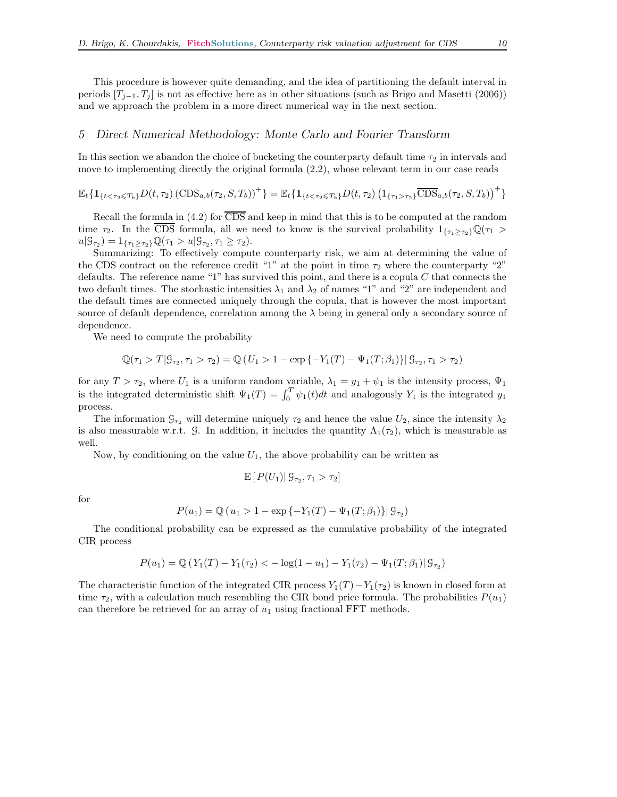This procedure is however quite demanding, and the idea of partitioning the default interval in periods  $[T_{i-1}, T_i]$  is not as effective here as in other situations (such as Brigo and Masetti (2006)) and we approach the problem in a more direct numerical way in the next section.

## 5 Direct Numerical Methodology: Monte Carlo and Fourier Transform

In this section we abandon the choice of bucketing the counterparty default time  $\tau_2$  in intervals and move to implementing directly the original formula (2.2), whose relevant term in our case reads

$$
\mathbb{E}_{t} \{ \mathbf{1}_{\{t < \tau_{2} \leq T_{b}\}} D(t, \tau_{2}) \left( \text{CDS}_{a,b}(\tau_{2}, S, T_{b}) \right)^{+} \} = \mathbb{E}_{t} \{ \mathbf{1}_{\{t < \tau_{2} \leq T_{b}\}} D(t, \tau_{2}) \left( \mathbf{1}_{\{\tau_{1} > \tau_{2}\}} \overline{\text{CDS}}_{a,b}(\tau_{2}, S, T_{b}) \right)^{+} \}
$$

Recall the formula in (4.2) for CDS and keep in mind that this is to be computed at the random time  $\tau_2$ . In the CDS formula, all we need to know is the survival probability  $1_{\{\tau_1>\tau_2\}}\mathbb{Q}(\tau_1 >$  $u|\mathcal{G}_{\tau_2}) = 1_{\{\tau_1 \geq \tau_2\}} \mathbb{Q}(\tau_1 > u|\mathcal{G}_{\tau_2}, \tau_1 \geq \tau_2).$ 

Summarizing: To effectively compute counterparty risk, we aim at determining the value of the CDS contract on the reference credit "1" at the point in time  $\tau_2$  where the counterparty "2" defaults. The reference name "1" has survived this point, and there is a copula  $C$  that connects the two default times. The stochastic intensities  $\lambda_1$  and  $\lambda_2$  of names "1" and "2" are independent and the default times are connected uniquely through the copula, that is however the most important source of default dependence, correlation among the  $\lambda$  being in general only a secondary source of dependence.

We need to compute the probability

$$
\mathbb{Q}(\tau_1 > T | \mathcal{G}_{\tau_2}, \tau_1 > \tau_2) = \mathbb{Q}(U_1 > 1 - \exp\{-Y_1(T) - \Psi_1(T; \beta_1)\} | \mathcal{G}_{\tau_2}, \tau_1 > \tau_2)
$$

for any  $T > \tau_2$ , where  $U_1$  is a uniform random variable,  $\lambda_1 = y_1 + \psi_1$  is the intensity process,  $\Psi_1$ is the integrated deterministic shift  $\Psi_1(T) = \int_0^T \psi_1(t) dt$  and analogously  $Y_1$  is the integrated  $y_1$ process.

The information  $\mathcal{G}_{\tau_2}$  will determine uniquely  $\tau_2$  and hence the value  $U_2$ , since the intensity  $\lambda_2$ is also measurable w.r.t. G. In addition, it includes the quantity  $\Lambda_1(\tau_2)$ , which is measurable as well.

Now, by conditioning on the value  $U_1$ , the above probability can be written as

$$
\mathbb{E}[P(U_1)|\mathcal{G}_{\tau_2}, \tau_1 > \tau_2]
$$

for

$$
P(u_1) = \mathbb{Q}\left(u_1 > 1 - \exp\{-Y_1(T) - \Psi_1(T; \beta_1)\}\right|\mathcal{G}_{\tau_2})
$$

The conditional probability can be expressed as the cumulative probability of the integrated CIR process

$$
P(u_1) = \mathbb{Q}\left(Y_1(T) - Y_1(\tau_2) < -\log(1 - u_1) - Y_1(\tau_2) - \Psi_1(T; \beta_1) | \mathcal{G}_{\tau_2}\right)
$$

The characteristic function of the integrated CIR process  $Y_1(T) - Y_1(\tau_2)$  is known in closed form at time  $\tau_2$ , with a calculation much resembling the CIR bond price formula. The probabilities  $P(u_1)$ can therefore be retrieved for an array of  $u_1$  using fractional FFT methods.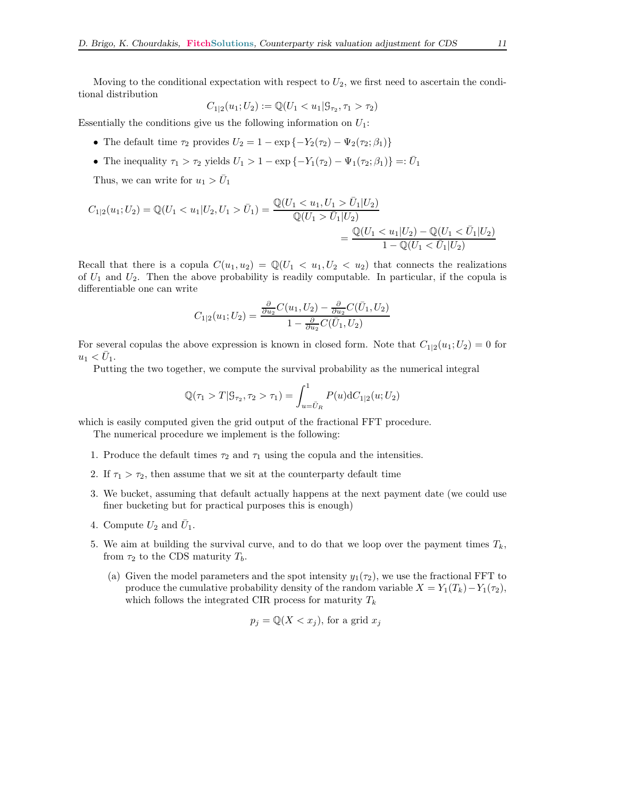Moving to the conditional expectation with respect to  $U_2$ , we first need to ascertain the conditional distribution

$$
C_{1|2}(u_1; U_2) := \mathbb{Q}(U_1 < u_1 | \mathcal{G}_{\tau_2}, \tau_1 > \tau_2)
$$

Essentially the conditions give us the following information on  $U_1$ :

- The default time  $\tau_2$  provides  $U_2 = 1 \exp\{-Y_2(\tau_2) \Psi_2(\tau_2; \beta_1)\}\$
- The inequality  $\tau_1 > \tau_2$  yields  $U_1 > 1 \exp\{-Y_1(\tau_2) \Psi_1(\tau_2; \beta_1)\} =: \bar{U}_1$

Thus, we can write for  $u_1 > \bar{U}_1$ 

$$
C_{1|2}(u_1; U_2) = \mathbb{Q}(U_1 < u_1 | U_2, U_1 > \bar{U}_1) = \frac{\mathbb{Q}(U_1 < u_1, U_1 > \bar{U}_1 | U_2)}{\mathbb{Q}(U_1 > \bar{U}_1 | U_2)} = \frac{\mathbb{Q}(U_1 < u_1 | U_2) - \mathbb{Q}(U_1 < \bar{U}_1 | U_2)}{1 - \mathbb{Q}(U_1 < \bar{U}_1 | U_2)}
$$

Recall that there is a copula  $C(u_1, u_2) = \mathbb{Q}(U_1 < u_1, U_2 < u_2)$  that connects the realizations of  $U_1$  and  $U_2$ . Then the above probability is readily computable. In particular, if the copula is differentiable one can write

$$
C_{1|2}(u_1; U_2) = \frac{\frac{\partial}{\partial u_2}C(u_1, U_2) - \frac{\partial}{\partial u_2}C(\bar{U}_1, U_2)}{1 - \frac{\partial}{\partial u_2}C(\bar{U}_1, U_2)}
$$

For several copulas the above expression is known in closed form. Note that  $C_{1|2}(u_1;U_2) = 0$  for  $u_1 < \bar{U}_1.$ 

Putting the two together, we compute the survival probability as the numerical integral

$$
\mathbb{Q}(\tau_1 > T | \mathcal{G}_{\tau_2}, \tau_2 > \tau_1) = \int_{u = \bar{U}_R}^{1} P(u) dC_{1|2}(u; U_2)
$$

which is easily computed given the grid output of the fractional FFT procedure.

The numerical procedure we implement is the following:

- 1. Produce the default times  $\tau_2$  and  $\tau_1$  using the copula and the intensities.
- 2. If  $\tau_1 > \tau_2$ , then assume that we sit at the counterparty default time
- 3. We bucket, assuming that default actually happens at the next payment date (we could use finer bucketing but for practical purposes this is enough)
- 4. Compute  $U_2$  and  $\bar{U}_1$ .
- 5. We aim at building the survival curve, and to do that we loop over the payment times  $T_k$ , from  $\tau_2$  to the CDS maturity  $T_b$ .
	- (a) Given the model parameters and the spot intensity  $y_1(\tau_2)$ , we use the fractional FFT to produce the cumulative probability density of the random variable  $X = Y_1(T_k) - Y_1(\tau_2)$ , which follows the integrated CIR process for maturity  $T_k$

$$
p_j = \mathbb{Q}(X < x_j)
$$
, for a grid  $x_j$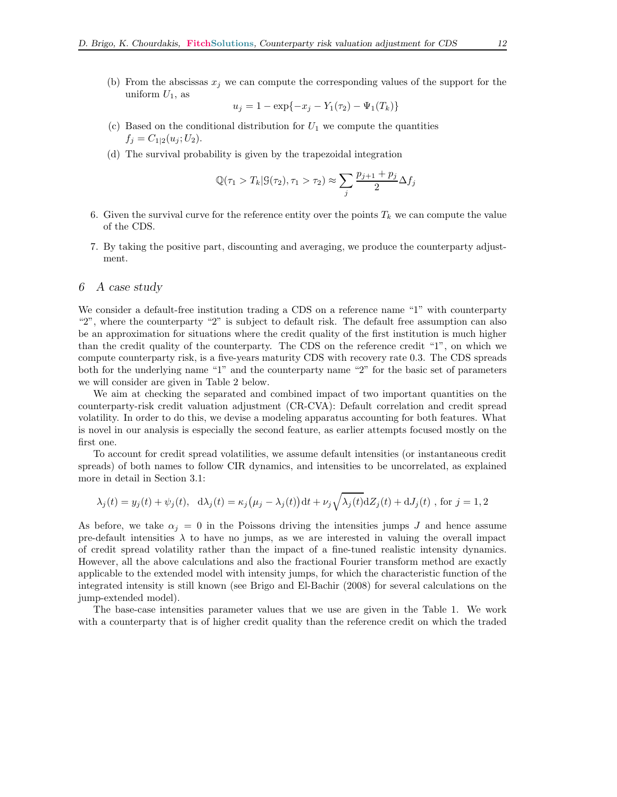(b) From the abscissas  $x_j$  we can compute the corresponding values of the support for the uniform  $U_1$ , as

$$
u_j = 1 - \exp\{-x_j - Y_1(\tau_2) - \Psi_1(T_k)\}\
$$

- (c) Based on the conditional distribution for  $U_1$  we compute the quantities  $f_i = C_{1|2}(u_i; U_2).$
- (d) The survival probability is given by the trapezoidal integration

$$
\mathbb{Q}(\tau_1 > T_k | \mathcal{G}(\tau_2), \tau_1 > \tau_2) \approx \sum_j \frac{p_{j+1} + p_j}{2} \Delta f_j
$$

- 6. Given the survival curve for the reference entity over the points  $T_k$  we can compute the value of the CDS.
- 7. By taking the positive part, discounting and averaging, we produce the counterparty adjustment.

## 6 A case study

We consider a default-free institution trading a CDS on a reference name "1" with counterparty "2", where the counterparty "2" is subject to default risk. The default free assumption can also be an approximation for situations where the credit quality of the first institution is much higher than the credit quality of the counterparty. The CDS on the reference credit "1", on which we compute counterparty risk, is a five-years maturity CDS with recovery rate 0.3. The CDS spreads both for the underlying name "1" and the counterparty name "2" for the basic set of parameters we will consider are given in Table 2 below.

We aim at checking the separated and combined impact of two important quantities on the counterparty-risk credit valuation adjustment (CR-CVA): Default correlation and credit spread volatility. In order to do this, we devise a modeling apparatus accounting for both features. What is novel in our analysis is especially the second feature, as earlier attempts focused mostly on the first one.

To account for credit spread volatilities, we assume default intensities (or instantaneous credit spreads) of both names to follow CIR dynamics, and intensities to be uncorrelated, as explained more in detail in Section 3.1:

$$
\lambda_j(t) = y_j(t) + \psi_j(t), \quad d\lambda_j(t) = \kappa_j(\mu_j - \lambda_j(t))dt + \nu_j\sqrt{\lambda_j(t)}dZ_j(t) + dJ_j(t), \text{ for } j = 1, 2
$$

As before, we take  $\alpha_j = 0$  in the Poissons driving the intensities jumps J and hence assume pre-default intensities  $\lambda$  to have no jumps, as we are interested in valuing the overall impact of credit spread volatility rather than the impact of a fine-tuned realistic intensity dynamics. However, all the above calculations and also the fractional Fourier transform method are exactly applicable to the extended model with intensity jumps, for which the characteristic function of the integrated intensity is still known (see Brigo and El-Bachir (2008) for several calculations on the jump-extended model).

The base-case intensities parameter values that we use are given in the Table 1. We work with a counterparty that is of higher credit quality than the reference credit on which the traded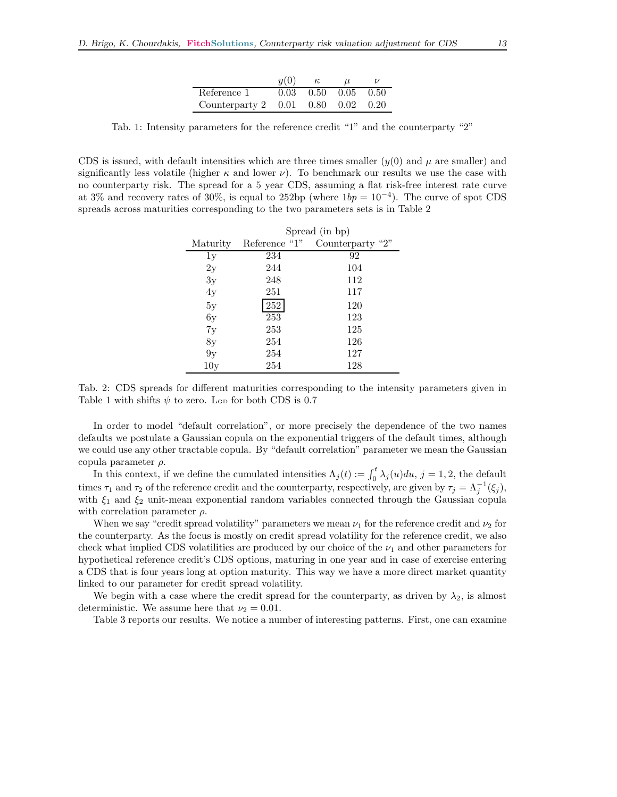|                                    | y(0) | $\kappa$                                | $\mu$ |  |
|------------------------------------|------|-----------------------------------------|-------|--|
| Reference 1                        |      | $0.03 \quad 0.50 \quad 0.05 \quad 0.50$ |       |  |
| Counterparty 2 0.01 0.80 0.02 0.20 |      |                                         |       |  |

Tab. 1: Intensity parameters for the reference credit "1" and the counterparty "2"

CDS is issued, with default intensities which are three times smaller  $(y(0)$  and  $\mu$  are smaller) and significantly less volatile (higher  $\kappa$  and lower  $\nu$ ). To benchmark our results we use the case with no counterparty risk. The spread for a 5 year CDS, assuming a flat risk-free interest rate curve at 3% and recovery rates of 30%, is equal to 252bp (where  $1bp = 10^{-4}$ ). The curve of spot CDS spreads across maturities corresponding to the two parameters sets is in Table 2

|          | Spread (in bp) |                     |  |  |  |
|----------|----------------|---------------------|--|--|--|
| Maturity | Reference "1"  | "2"<br>Counterparty |  |  |  |
| 1y       | 234            | 92                  |  |  |  |
| 2y       | 244            | 104                 |  |  |  |
| 3y       | 248            | 112                 |  |  |  |
| 4y       | 251            | 117                 |  |  |  |
| 5y       | 252            | 120                 |  |  |  |
| 6y       | 253            | 123                 |  |  |  |
| 7y       | 253            | 125                 |  |  |  |
| 8y       | 254            | 126                 |  |  |  |
| 9y       | 254            | 127                 |  |  |  |
| 10v      | 254            | 128                 |  |  |  |

Tab. 2: CDS spreads for different maturities corresponding to the intensity parameters given in Table 1 with shifts  $\psi$  to zero. L<sub>GD</sub> for both CDS is 0.7

In order to model "default correlation", or more precisely the dependence of the two names defaults we postulate a Gaussian copula on the exponential triggers of the default times, although we could use any other tractable copula. By "default correlation" parameter we mean the Gaussian copula parameter  $\rho$ .

In this context, if we define the cumulated intensities  $\Lambda_j(t) := \int_0^t \lambda_j(u) du$ ,  $j = 1, 2$ , the default times  $\tau_1$  and  $\tau_2$  of the reference credit and the counterparty, respectively, are given by  $\tau_j = \Lambda_j^{-1}(\xi_j)$ , with  $\xi_1$  and  $\xi_2$  unit-mean exponential random variables connected through the Gaussian copula with correlation parameter  $\rho$ .

When we say "credit spread volatility" parameters we mean  $\nu_1$  for the reference credit and  $\nu_2$  for the counterparty. As the focus is mostly on credit spread volatility for the reference credit, we also check what implied CDS volatilities are produced by our choice of the  $\nu_1$  and other parameters for hypothetical reference credit's CDS options, maturing in one year and in case of exercise entering a CDS that is four years long at option maturity. This way we have a more direct market quantity linked to our parameter for credit spread volatility.

We begin with a case where the credit spread for the counterparty, as driven by  $\lambda_2$ , is almost deterministic. We assume here that  $\nu_2 = 0.01$ .

Table 3 reports our results. We notice a number of interesting patterns. First, one can examine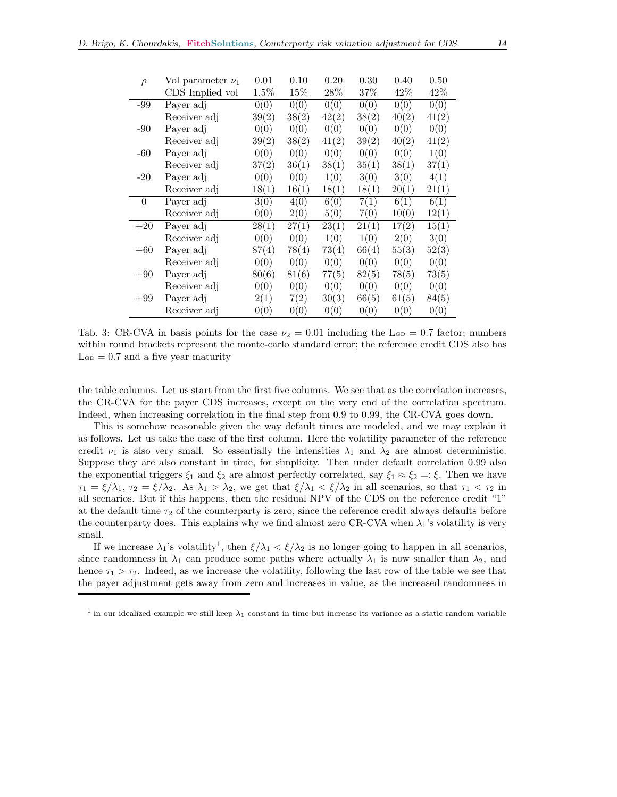| $\rho$   | Vol parameter $\nu_1$ | 0.01    | 0.10   | 0.20   | 0.30   | 0.40   | 0.50   |
|----------|-----------------------|---------|--------|--------|--------|--------|--------|
|          | CDS Implied vol       | $1.5\%$ | $15\%$ | $28\%$ | $37\%$ | $42\%$ | $42\%$ |
| -99      | Payer adj             | 0(0)    | 0(0)   | 0(0)   | 0(0)   | 0(0)   | 0(0)   |
|          | Receiver adj          | 39(2)   | 38(2)  | 42(2)  | 38(2)  | 40(2)  | 41(2)  |
| $-90$    | Payer adj             | 0(0)    | 0(0)   | 0(0)   | 0(0)   | 0(0)   | 0(0)   |
|          | Receiver adj          | 39(2)   | 38(2)  | 41(2)  | 39(2)  | 40(2)  | 41(2)  |
| -60      | Payer adj             | 0(0)    | 0(0)   | 0(0)   | 0(0)   | 0(0)   | 1(0)   |
|          | Receiver adj          | 37(2)   | 36(1)  | 38(1)  | 35(1)  | 38(1)  | 37(1)  |
| $-20$    | Payer adj             | 0(0)    | 0(0)   | 1(0)   | 3(0)   | 3(0)   | 4(1)   |
|          | Receiver adj          | 18(1)   | 16(1)  | 18(1)  | 18(1)  | 20(1)  | 21(1)  |
| $\Omega$ | Payer adj             | 3(0)    | 4(0)   | 6(0)   | 7(1)   | 6(1)   | 6(1)   |
|          | Receiver adj          | 0(0)    | 2(0)   | 5(0)   | 7(0)   | 10(0)  | 12(1)  |
| $+20$    | Payer adj             | 28(1)   | 27(1)  | 23(1)  | 21(1)  | 17(2)  | 15(1)  |
|          | Receiver adj          | 0(0)    | 0(0)   | 1(0)   | 1(0)   | 2(0)   | 3(0)   |
| $+60$    | Payer adj             | 87(4)   | 78(4)  | 73(4)  | 66(4)  | 55(3)  | 52(3)  |
|          | Receiver adj          | 0(0)    | 0(0)   | 0(0)   | 0(0)   | 0(0)   | 0(0)   |
| $+90$    | Payer adj             | 80(6)   | 81(6)  | 77(5)  | 82(5)  | 78(5)  | 73(5)  |
|          | Receiver adj          | 0(0)    | 0(0)   | 0(0)   | 0(0)   | 0(0)   | 0(0)   |
| $+99$    | Payer adj             | 2(1)    | 7(2)   | 30(3)  | 66(5)  | 61(5)  | 84(5)  |
|          | Receiver adj          | 0(0)    | 0(0)   | 0(0)   | 0(0)   | 0(0)   | 0(0)   |

Tab. 3: CR-CVA in basis points for the case  $\nu_2 = 0.01$  including the L<sub>GD</sub> = 0.7 factor; numbers within round brackets represent the monte-carlo standard error; the reference credit CDS also has  $L_{GD} = 0.7$  and a five year maturity

the table columns. Let us start from the first five columns. We see that as the correlation increases, the CR-CVA for the payer CDS increases, except on the very end of the correlation spectrum. Indeed, when increasing correlation in the final step from 0.9 to 0.99, the CR-CVA goes down.

This is somehow reasonable given the way default times are modeled, and we may explain it as follows. Let us take the case of the first column. Here the volatility parameter of the reference credit  $\nu_1$  is also very small. So essentially the intensities  $\lambda_1$  and  $\lambda_2$  are almost deterministic. Suppose they are also constant in time, for simplicity. Then under default correlation 0.99 also the exponential triggers  $\xi_1$  and  $\xi_2$  are almost perfectly correlated, say  $\xi_1 \approx \xi_2 =:\xi$ . Then we have  $\tau_1 = \xi/\lambda_1$ ,  $\tau_2 = \xi/\lambda_2$ . As  $\lambda_1 > \lambda_2$ , we get that  $\xi/\lambda_1 < \xi/\lambda_2$  in all scenarios, so that  $\tau_1 < \tau_2$  in all scenarios. But if this happens, then the residual NPV of the CDS on the reference credit "1" at the default time  $\tau_2$  of the counterparty is zero, since the reference credit always defaults before the counterparty does. This explains why we find almost zero CR-CVA when  $\lambda_1$ 's volatility is very small.

If we increase  $\lambda_1$ 's volatility<sup>1</sup>, then  $\xi/\lambda_1 < \xi/\lambda_2$  is no longer going to happen in all scenarios, since randomness in  $\lambda_1$  can produce some paths where actually  $\lambda_1$  is now smaller than  $\lambda_2$ , and hence  $\tau_1 > \tau_2$ . Indeed, as we increase the volatility, following the last row of the table we see that the payer adjustment gets away from zero and increases in value, as the increased randomness in

<sup>&</sup>lt;sup>1</sup> in our idealized example we still keep  $\lambda_1$  constant in time but increase its variance as a static random variable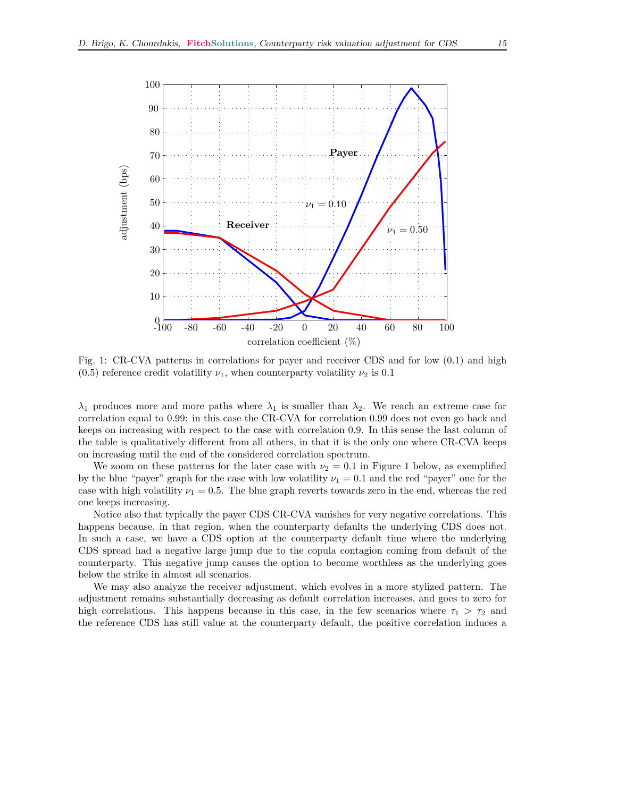

Fig. 1: CR-CVA patterns in correlations for payer and receiver CDS and for low (0.1) and high  $(0.5)$  reference credit volatility  $\nu_1$ , when counterparty volatility  $\nu_2$  is 0.1

 $\lambda_1$  produces more and more paths where  $\lambda_1$  is smaller than  $\lambda_2$ . We reach an extreme case for correlation equal to 0.99: in this case the CR-CVA for correlation 0.99 does not even go back and keeps on increasing with respect to the case with correlation 0.9. In this sense the last column of the table is qualitatively different from all others, in that it is the only one where CR-CVA keeps on increasing until the end of the considered correlation spectrum.

We zoom on these patterns for the later case with  $\nu_2 = 0.1$  in Figure 1 below, as exemplified by the blue "payer" graph for the case with low volatility  $\nu_1 = 0.1$  and the red "payer" one for the case with high volatility  $\nu_1 = 0.5$ . The blue graph reverts towards zero in the end, whereas the red one keeps increasing.

Notice also that typically the payer CDS CR-CVA vanishes for very negative correlations. This happens because, in that region, when the counterparty defaults the underlying CDS does not. In such a case, we have a CDS option at the counterparty default time where the underlying CDS spread had a negative large jump due to the copula contagion coming from default of the counterparty. This negative jump causes the option to become worthless as the underlying goes below the strike in almost all scenarios.

We may also analyze the receiver adjustment, which evolves in a more stylized pattern. The adjustment remains substantially decreasing as default correlation increases, and goes to zero for high correlations. This happens because in this case, in the few scenarios where  $\tau_1 > \tau_2$  and the reference CDS has still value at the counterparty default, the positive correlation induces a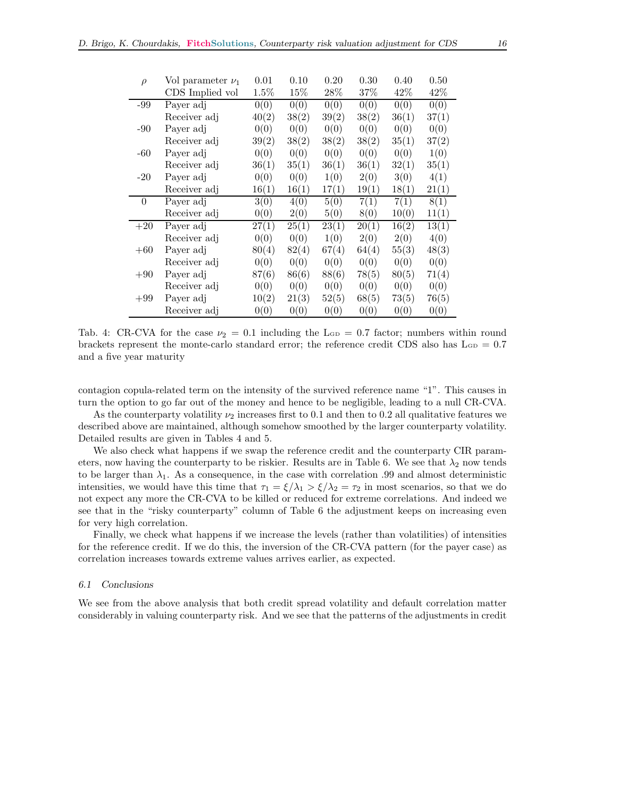| $\rho$   | Vol parameter $\nu_1$ | 0.01    | 0.10   | 0.20   | 0.30   | 0.40   | 0.50  |
|----------|-----------------------|---------|--------|--------|--------|--------|-------|
|          | CDS Implied vol       | $1.5\%$ | $15\%$ | $28\%$ | $37\%$ | $42\%$ | 42\%  |
| $-99$    | Payer adj             | 0(0)    | 0(0)   | 0(0)   | 0(0)   | 0(0)   | 0(0)  |
|          | Receiver adj          | 40(2)   | 38(2)  | 39(2)  | 38(2)  | 36(1)  | 37(1) |
| $-90$    | Payer adj             | 0(0)    | 0(0)   | 0(0)   | 0(0)   | 0(0)   | 0(0)  |
|          | Receiver adj          | 39(2)   | 38(2)  | 38(2)  | 38(2)  | 35(1)  | 37(2) |
| -60      | Payer adj             | 0(0)    | 0(0)   | 0(0)   | 0(0)   | 0(0)   | 1(0)  |
|          | Receiver adj          | 36(1)   | 35(1)  | 36(1)  | 36(1)  | 32(1)  | 35(1) |
| $-20$    | Payer adj             | 0(0)    | 0(0)   | 1(0)   | 2(0)   | 3(0)   | 4(1)  |
|          | Receiver adj          | 16(1)   | 16(1)  | 17(1)  | 19(1)  | 18(1)  | 21(1) |
| $\Omega$ | Payer adj             | 3(0)    | 4(0)   | 5(0)   | 7(1)   | 7(1)   | 8(1)  |
|          | Receiver adj          | 0(0)    | 2(0)   | 5(0)   | 8(0)   | 10(0)  | 11(1) |
| $+20$    | Payer adj             | 27(1)   | 25(1)  | 23(1)  | 20(1)  | 16(2)  | 13(1) |
|          | Receiver adj          | 0(0)    | 0(0)   | 1(0)   | 2(0)   | 2(0)   | 4(0)  |
| $+60$    | Payer adj             | 80(4)   | 82(4)  | 67(4)  | 64(4)  | 55(3)  | 48(3) |
|          | Receiver adj          | 0(0)    | 0(0)   | 0(0)   | 0(0)   | 0(0)   | 0(0)  |
| $+90$    | Payer adj             | 87(6)   | 86(6)  | 88(6)  | 78(5)  | 80(5)  | 71(4) |
|          | Receiver adj          | 0(0)    | 0(0)   | 0(0)   | 0(0)   | 0(0)   | 0(0)  |
| $+99$    | Payer adj             | 10(2)   | 21(3)  | 52(5)  | 68(5)  | 73(5)  | 76(5) |
|          | Receiver adj          | 0(0)    | 0(0)   | 0(0)   | 0(0)   | 0(0)   | 0(0)  |

Tab. 4: CR-CVA for the case  $\nu_2 = 0.1$  including the L<sub>GD</sub> = 0.7 factor; numbers within round brackets represent the monte-carlo standard error; the reference credit CDS also has  $L_{GD} = 0.7$ and a five year maturity

contagion copula-related term on the intensity of the survived reference name "1". This causes in turn the option to go far out of the money and hence to be negligible, leading to a null CR-CVA.

As the counterparty volatility  $\nu_2$  increases first to 0.1 and then to 0.2 all qualitative features we described above are maintained, although somehow smoothed by the larger counterparty volatility. Detailed results are given in Tables 4 and 5.

We also check what happens if we swap the reference credit and the counterparty CIR parameters, now having the counterparty to be riskier. Results are in Table 6. We see that  $\lambda_2$  now tends to be larger than  $\lambda_1$ . As a consequence, in the case with correlation .99 and almost deterministic intensities, we would have this time that  $\tau_1 = \xi/\lambda_1 > \xi/\lambda_2 = \tau_2$  in most scenarios, so that we do not expect any more the CR-CVA to be killed or reduced for extreme correlations. And indeed we see that in the "risky counterparty" column of Table 6 the adjustment keeps on increasing even for very high correlation.

Finally, we check what happens if we increase the levels (rather than volatilities) of intensities for the reference credit. If we do this, the inversion of the CR-CVA pattern (for the payer case) as correlation increases towards extreme values arrives earlier, as expected.

#### 6.1 Conclusions

We see from the above analysis that both credit spread volatility and default correlation matter considerably in valuing counterparty risk. And we see that the patterns of the adjustments in credit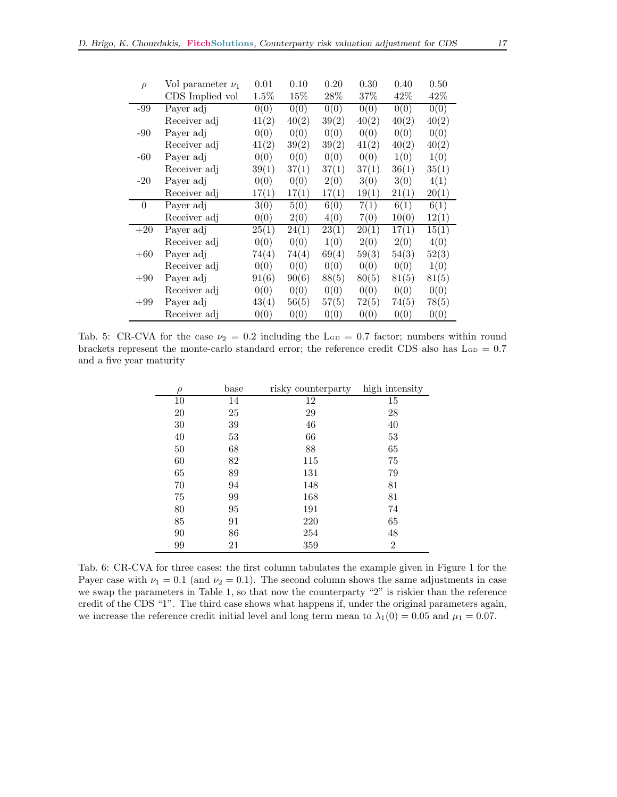| $\rho$   | Vol parameter $\nu_1$ | 0.01    | 0.10  | 0.20   | 0.30  | 0.40   | 0.50  |
|----------|-----------------------|---------|-------|--------|-------|--------|-------|
|          | CDS Implied vol       | $1.5\%$ | 15\%  | $28\%$ | 37%   | $42\%$ | 42\%  |
| $-99$    | Payer adj             | 0(0)    | 0(0)  | 0(0)   | 0(0)  | 0(0)   | 0(0)  |
|          | Receiver adj          | 41(2)   | 40(2) | 39(2)  | 40(2) | 40(2)  | 40(2) |
| $-90$    | Payer adj             | 0(0)    | 0(0)  | 0(0)   | 0(0)  | 0(0)   | 0(0)  |
|          | Receiver adj          | 41(2)   | 39(2) | 39(2)  | 41(2) | 40(2)  | 40(2) |
| -60      | Payer adj             | 0(0)    | 0(0)  | 0(0)   | 0(0)  | 1(0)   | 1(0)  |
|          | Receiver adj          | 39(1)   | 37(1) | 37(1)  | 37(1) | 36(1)  | 35(1) |
| $-20$    | Payer adj             | 0(0)    | 0(0)  | 2(0)   | 3(0)  | 3(0)   | 4(1)  |
|          | Receiver adj          | 17(1)   | 17(1) | 17(1)  | 19(1) | 21(1)  | 20(1) |
| $\left($ | Payer adj             | 3(0)    | 5(0)  | 6(0)   | 7(1)  | 6(1)   | 6(1)  |
|          | Receiver adj          | 0(0)    | 2(0)  | 4(0)   | 7(0)  | 10(0)  | 12(1) |
| $+20$    | Payer adj             | 25(1)   | 24(1) | 23(1)  | 20(1) | 17(1)  | 15(1) |
|          | Receiver adj          | 0(0)    | 0(0)  | 1(0)   | 2(0)  | 2(0)   | 4(0)  |
| $+60$    | Payer adj             | 74(4)   | 74(4) | 69(4)  | 59(3) | 54(3)  | 52(3) |
|          | Receiver adj          | 0(0)    | 0(0)  | 0(0)   | 0(0)  | 0(0)   | 1(0)  |
| $+90$    | Payer adj             | 91(6)   | 90(6) | 88(5)  | 80(5) | 81(5)  | 81(5) |
|          | Receiver adj          | 0(0)    | 0(0)  | 0(0)   | 0(0)  | 0(0)   | 0(0)  |
| $+99$    | Payer adj             | 43(4)   | 56(5) | 57(5)  | 72(5) | 74(5)  | 78(5) |
|          | Receiver adj          | 0(0)    | 0(0)  | 0(0)   | 0(0)  | 0(0)   | 0(0)  |

Tab. 5: CR-CVA for the case  $\nu_2 = 0.2$  including the L<sub>GD</sub> = 0.7 factor; numbers within round brackets represent the monte-carlo standard error; the reference credit CDS also has  $L_{GD} = 0.7$ and a five year maturity

| $\rho$ | base | risky counterparty | high intensity |
|--------|------|--------------------|----------------|
| 10     | 14   | 12                 | 15             |
| 20     | 25   | 29                 | 28             |
| 30     | 39   | 46                 | 40             |
| 40     | 53   | 66                 | 53             |
| 50     | 68   | 88                 | 65             |
| 60     | 82   | 115                | 75             |
| 65     | 89   | 131                | 79             |
| 70     | 94   | 148                | 81             |
| 75     | 99   | 168                | 81             |
| 80     | 95   | 191                | 74             |
| 85     | 91   | 220                | 65             |
| 90     | 86   | 254                | 48             |
| 99     | 21   | 359                | $\overline{2}$ |

Tab. 6: CR-CVA for three cases: the first column tabulates the example given in Figure 1 for the Payer case with  $\nu_1 = 0.1$  (and  $\nu_2 = 0.1$ ). The second column shows the same adjustments in case we swap the parameters in Table 1, so that now the counterparty "2" is riskier than the reference credit of the CDS "1". The third case shows what happens if, under the original parameters again, we increase the reference credit initial level and long term mean to  $\lambda_1(0) = 0.05$  and  $\mu_1 = 0.07$ .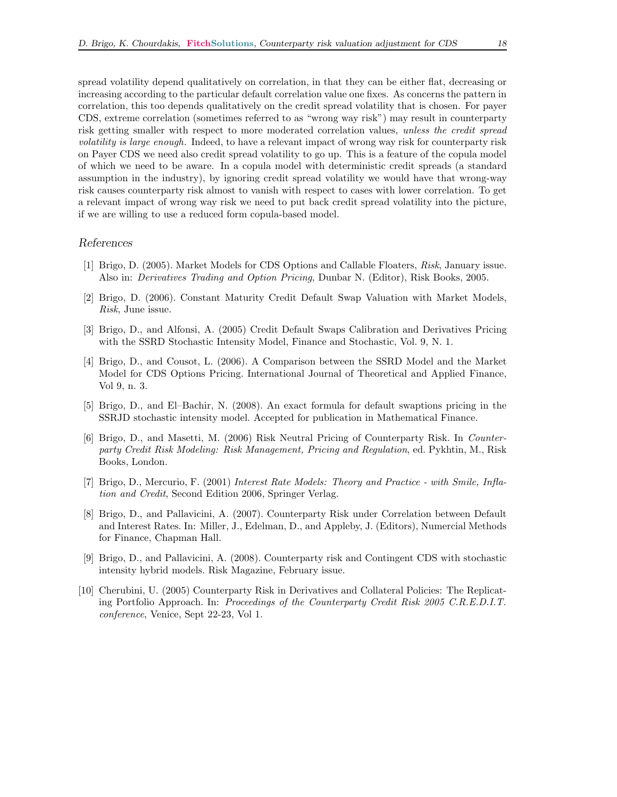spread volatility depend qualitatively on correlation, in that they can be either flat, decreasing or increasing according to the particular default correlation value one fixes. As concerns the pattern in correlation, this too depends qualitatively on the credit spread volatility that is chosen. For payer CDS, extreme correlation (sometimes referred to as "wrong way risk") may result in counterparty risk getting smaller with respect to more moderated correlation values, unless the credit spread volatility is large enough. Indeed, to have a relevant impact of wrong way risk for counterparty risk on Payer CDS we need also credit spread volatility to go up. This is a feature of the copula model of which we need to be aware. In a copula model with deterministic credit spreads (a standard assumption in the industry), by ignoring credit spread volatility we would have that wrong-way risk causes counterparty risk almost to vanish with respect to cases with lower correlation. To get a relevant impact of wrong way risk we need to put back credit spread volatility into the picture, if we are willing to use a reduced form copula-based model.

## References

- [1] Brigo, D. (2005). Market Models for CDS Options and Callable Floaters, Risk, January issue. Also in: Derivatives Trading and Option Pricing, Dunbar N. (Editor), Risk Books, 2005.
- [2] Brigo, D. (2006). Constant Maturity Credit Default Swap Valuation with Market Models, Risk, June issue.
- [3] Brigo, D., and Alfonsi, A. (2005) Credit Default Swaps Calibration and Derivatives Pricing with the SSRD Stochastic Intensity Model, Finance and Stochastic, Vol. 9, N. 1.
- [4] Brigo, D., and Cousot, L. (2006). A Comparison between the SSRD Model and the Market Model for CDS Options Pricing. International Journal of Theoretical and Applied Finance, Vol 9, n. 3.
- [5] Brigo, D., and El–Bachir, N. (2008). An exact formula for default swaptions pricing in the SSRJD stochastic intensity model. Accepted for publication in Mathematical Finance.
- [6] Brigo, D., and Masetti, M. (2006) Risk Neutral Pricing of Counterparty Risk. In Counterparty Credit Risk Modeling: Risk Management, Pricing and Regulation, ed. Pykhtin, M., Risk Books, London.
- [7] Brigo, D., Mercurio, F. (2001) Interest Rate Models: Theory and Practice with Smile, Inflation and Credit, Second Edition 2006, Springer Verlag.
- [8] Brigo, D., and Pallavicini, A. (2007). Counterparty Risk under Correlation between Default and Interest Rates. In: Miller, J., Edelman, D., and Appleby, J. (Editors), Numercial Methods for Finance, Chapman Hall.
- [9] Brigo, D., and Pallavicini, A. (2008). Counterparty risk and Contingent CDS with stochastic intensity hybrid models. Risk Magazine, February issue.
- [10] Cherubini, U. (2005) Counterparty Risk in Derivatives and Collateral Policies: The Replicating Portfolio Approach. In: Proceedings of the Counterparty Credit Risk 2005 C.R.E.D.I.T. conference, Venice, Sept 22-23, Vol 1.